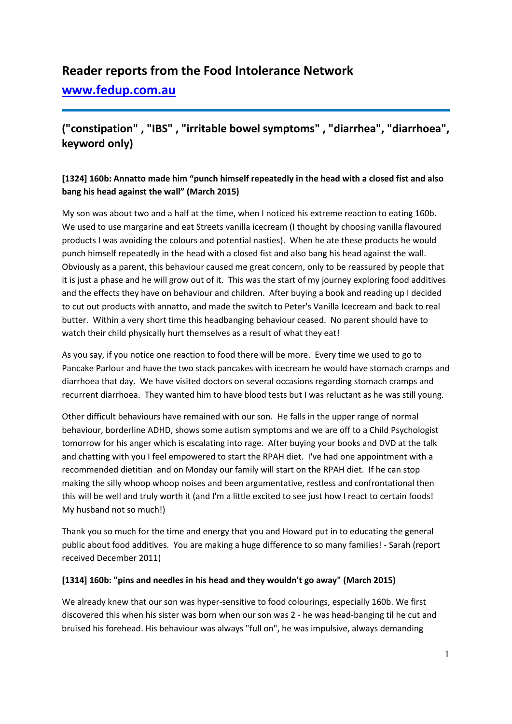# **Reader reports from the Food Intolerance Network**

**[www.fedup.com.au](http://www.fedup.com.au/)**

# **("constipation" , "IBS" , "irritable bowel symptoms" , "diarrhea", "diarrhoea", keyword only)**

# **[1324] 160b: Annatto made him "punch himself repeatedly in the head with a closed fist and also bang his head against the wall" (March 2015)**

My son was about two and a half at the time, when I noticed his extreme reaction to eating 160b. We used to use margarine and eat Streets vanilla icecream (I thought by choosing vanilla flavoured products I was avoiding the colours and potential nasties). When he ate these products he would punch himself repeatedly in the head with a closed fist and also bang his head against the wall. Obviously as a parent, this behaviour caused me great concern, only to be reassured by people that it is just a phase and he will grow out of it. This was the start of my journey exploring food additives and the effects they have on behaviour and children. After buying a book and reading up I decided to cut out products with annatto, and made the switch to Peter's Vanilla Icecream and back to real butter. Within a very short time this headbanging behaviour ceased. No parent should have to watch their child physically hurt themselves as a result of what they eat!

As you say, if you notice one reaction to food there will be more. Every time we used to go to Pancake Parlour and have the two stack pancakes with icecream he would have stomach cramps and diarrhoea that day. We have visited doctors on several occasions regarding stomach cramps and recurrent diarrhoea. They wanted him to have blood tests but I was reluctant as he was still young.

Other difficult behaviours have remained with our son. He falls in the upper range of normal behaviour, borderline ADHD, shows some autism symptoms and we are off to a Child Psychologist tomorrow for his anger which is escalating into rage. After buying your books and DVD at the talk and chatting with you I feel empowered to start the RPAH diet. I've had one appointment with a recommended dietitian and on Monday our family will start on the RPAH diet. If he can stop making the silly whoop whoop noises and been argumentative, restless and confrontational then this will be well and truly worth it (and I'm a little excited to see just how I react to certain foods! My husband not so much!)

Thank you so much for the time and energy that you and Howard put in to educating the general public about food additives. You are making a huge difference to so many families! - Sarah (report received December 2011)

### **[1314] 160b: "pins and needles in his head and they wouldn't go away" (March 2015)**

We already knew that our son was hyper-sensitive to food colourings, especially 160b. We first discovered this when his sister was born when our son was 2 - he was head-banging til he cut and bruised his forehead. His behaviour was always "full on", he was impulsive, always demanding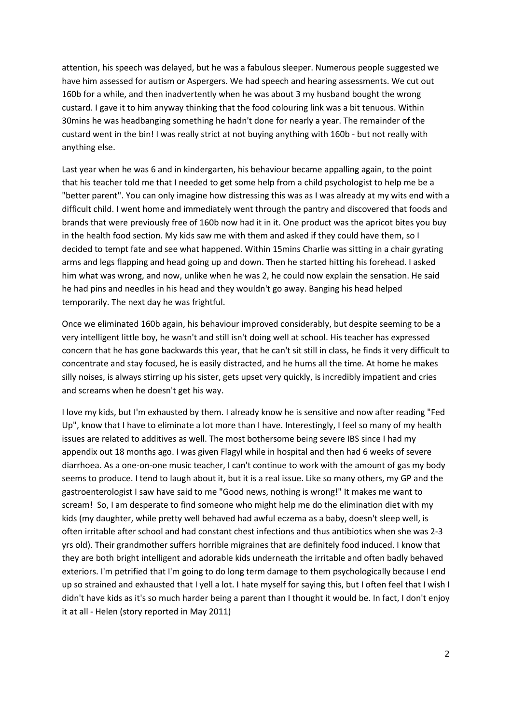attention, his speech was delayed, but he was a fabulous sleeper. Numerous people suggested we have him assessed for autism or Aspergers. We had speech and hearing assessments. We cut out 160b for a while, and then inadvertently when he was about 3 my husband bought the wrong custard. I gave it to him anyway thinking that the food colouring link was a bit tenuous. Within 30mins he was headbanging something he hadn't done for nearly a year. The remainder of the custard went in the bin! I was really strict at not buying anything with 160b - but not really with anything else.

Last year when he was 6 and in kindergarten, his behaviour became appalling again, to the point that his teacher told me that I needed to get some help from a child psychologist to help me be a "better parent". You can only imagine how distressing this was as I was already at my wits end with a difficult child. I went home and immediately went through the pantry and discovered that foods and brands that were previously free of 160b now had it in it. One product was the apricot bites you buy in the health food section. My kids saw me with them and asked if they could have them, so I decided to tempt fate and see what happened. Within 15mins Charlie was sitting in a chair gyrating arms and legs flapping and head going up and down. Then he started hitting his forehead. I asked him what was wrong, and now, unlike when he was 2, he could now explain the sensation. He said he had pins and needles in his head and they wouldn't go away. Banging his head helped temporarily. The next day he was frightful.

Once we eliminated 160b again, his behaviour improved considerably, but despite seeming to be a very intelligent little boy, he wasn't and still isn't doing well at school. His teacher has expressed concern that he has gone backwards this year, that he can't sit still in class, he finds it very difficult to concentrate and stay focused, he is easily distracted, and he hums all the time. At home he makes silly noises, is always stirring up his sister, gets upset very quickly, is incredibly impatient and cries and screams when he doesn't get his way.

I love my kids, but I'm exhausted by them. I already know he is sensitive and now after reading "Fed Up", know that I have to eliminate a lot more than I have. Interestingly, I feel so many of my health issues are related to additives as well. The most bothersome being severe IBS since I had my appendix out 18 months ago. I was given Flagyl while in hospital and then had 6 weeks of severe diarrhoea. As a one-on-one music teacher, I can't continue to work with the amount of gas my body seems to produce. I tend to laugh about it, but it is a real issue. Like so many others, my GP and the gastroenterologist I saw have said to me "Good news, nothing is wrong!" It makes me want to scream! So, I am desperate to find someone who might help me do the elimination diet with my kids (my daughter, while pretty well behaved had awful eczema as a baby, doesn't sleep well, is often irritable after school and had constant chest infections and thus antibiotics when she was 2-3 yrs old). Their grandmother suffers horrible migraines that are definitely food induced. I know that they are both bright intelligent and adorable kids underneath the irritable and often badly behaved exteriors. I'm petrified that I'm going to do long term damage to them psychologically because I end up so strained and exhausted that I yell a lot. I hate myself for saying this, but I often feel that I wish I didn't have kids as it's so much harder being a parent than I thought it would be. In fact, I don't enjoy it at all - Helen (story reported in May 2011)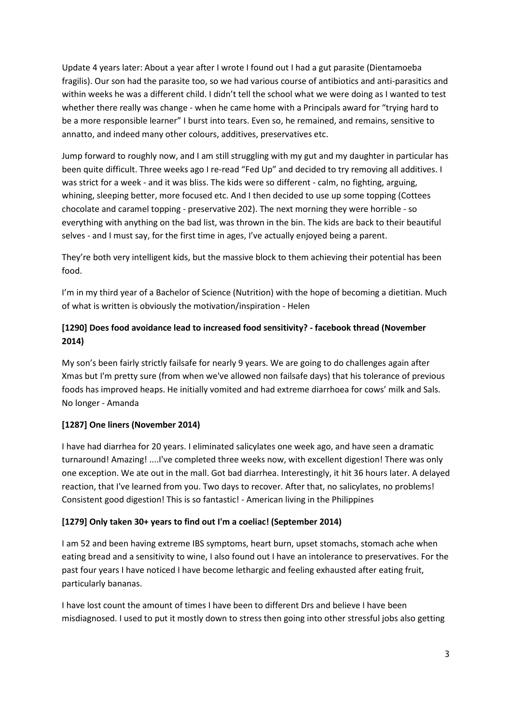Update 4 years later: About a year after I wrote I found out I had a gut parasite (Dientamoeba fragilis). Our son had the parasite too, so we had various course of antibiotics and anti-parasitics and within weeks he was a different child. I didn't tell the school what we were doing as I wanted to test whether there really was change - when he came home with a Principals award for "trying hard to be a more responsible learner" I burst into tears. Even so, he remained, and remains, sensitive to annatto, and indeed many other colours, additives, preservatives etc.

Jump forward to roughly now, and I am still struggling with my gut and my daughter in particular has been quite difficult. Three weeks ago I re-read "Fed Up" and decided to try removing all additives. I was strict for a week - and it was bliss. The kids were so different - calm, no fighting, arguing, whining, sleeping better, more focused etc. And I then decided to use up some topping (Cottees chocolate and caramel topping - preservative 202). The next morning they were horrible - so everything with anything on the bad list, was thrown in the bin. The kids are back to their beautiful selves - and I must say, for the first time in ages, I've actually enjoyed being a parent.

They're both very intelligent kids, but the massive block to them achieving their potential has been food.

I'm in my third year of a Bachelor of Science (Nutrition) with the hope of becoming a dietitian. Much of what is written is obviously the motivation/inspiration - Helen

# **[1290] Does food avoidance lead to increased food sensitivity? - facebook thread (November 2014)**

My son's been fairly strictly failsafe for nearly 9 years. We are going to do challenges again after Xmas but I'm pretty sure (from when we've allowed non failsafe days) that his tolerance of previous foods has improved heaps. He initially vomited and had extreme diarrhoea for cows' milk and Sals. No longer - Amanda

### **[1287] One liners (November 2014)**

I have had diarrhea for 20 years. I eliminated salicylates one week ago, and have seen a dramatic turnaround! Amazing! ....I've completed three weeks now, with excellent digestion! There was only one exception. We ate out in the mall. Got bad diarrhea. Interestingly, it hit 36 hours later. A delayed reaction, that I've learned from you. Two days to recover. After that, no salicylates, no problems! Consistent good digestion! This is so fantastic! - American living in the Philippines

### **[1279] Only taken 30+ years to find out I'm a coeliac! (September 2014)**

I am 52 and been having extreme IBS symptoms, heart burn, upset stomachs, stomach ache when eating bread and a sensitivity to wine, I also found out I have an intolerance to preservatives. For the past four years I have noticed I have become lethargic and feeling exhausted after eating fruit, particularly bananas.

I have lost count the amount of times I have been to different Drs and believe I have been misdiagnosed. I used to put it mostly down to stress then going into other stressful jobs also getting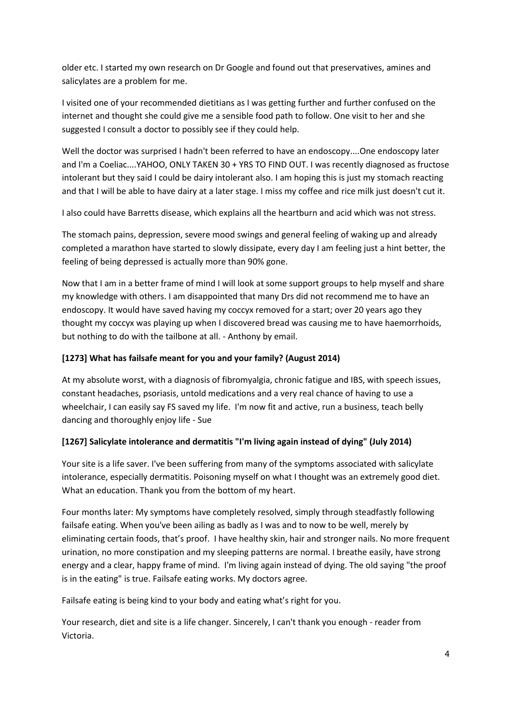older etc. I started my own research on Dr Google and found out that preservatives, amines and salicylates are a problem for me.

I visited one of your recommended dietitians as I was getting further and further confused on the internet and thought she could give me a sensible food path to follow. One visit to her and she suggested I consult a doctor to possibly see if they could help.

Well the doctor was surprised I hadn't been referred to have an endoscopy....One endoscopy later and I'm a Coeliac....YAHOO, ONLY TAKEN 30 + YRS TO FIND OUT. I was recently diagnosed as fructose intolerant but they said I could be dairy intolerant also. I am hoping this is just my stomach reacting and that I will be able to have dairy at a later stage. I miss my coffee and rice milk just doesn't cut it.

I also could have Barretts disease, which explains all the heartburn and acid which was not stress.

The stomach pains, depression, severe mood swings and general feeling of waking up and already completed a marathon have started to slowly dissipate, every day I am feeling just a hint better, the feeling of being depressed is actually more than 90% gone.

Now that I am in a better frame of mind I will look at some support groups to help myself and share my knowledge with others. I am disappointed that many Drs did not recommend me to have an endoscopy. It would have saved having my coccyx removed for a start; over 20 years ago they thought my coccyx was playing up when I discovered bread was causing me to have haemorrhoids, but nothing to do with the tailbone at all. - Anthony by email.

# **[1273] What has failsafe meant for you and your family? (August 2014)**

At my absolute worst, with a diagnosis of fibromyalgia, chronic fatigue and IBS, with speech issues, constant headaches, psoriasis, untold medications and a very real chance of having to use a wheelchair, I can easily say FS saved my life. I'm now fit and active, run a business, teach belly dancing and thoroughly enjoy life - Sue

# **[1267] Salicylate intolerance and dermatitis "I'm living again instead of dying" (July 2014)**

Your site is a life saver. I've been suffering from many of the symptoms associated with salicylate intolerance, especially dermatitis. Poisoning myself on what I thought was an extremely good diet. What an education. Thank you from the bottom of my heart.

Four months later: My symptoms have completely resolved, simply through steadfastly following failsafe eating. When you've been ailing as badly as I was and to now to be well, merely by eliminating certain foods, that's proof. I have healthy skin, hair and stronger nails. No more frequent urination, no more constipation and my sleeping patterns are normal. I breathe easily, have strong energy and a clear, happy frame of mind. I'm living again instead of dying. The old saying "the proof is in the eating" is true. Failsafe eating works. My doctors agree.

Failsafe eating is being kind to your body and eating what's right for you.

Your research, diet and site is a life changer. Sincerely, I can't thank you enough - reader from Victoria.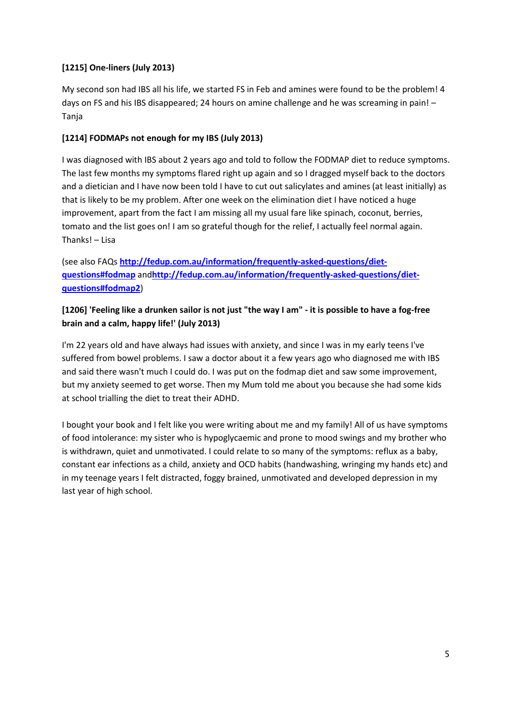# **[1215] One-liners (July 2013)**

My second son had IBS all his life, we started FS in Feb and amines were found to be the problem! 4 days on FS and his IBS disappeared; 24 hours on amine challenge and he was screaming in pain! – Tanja

# **[1214] FODMAPs not enough for my IBS (July 2013)**

I was diagnosed with IBS about 2 years ago and told to follow the FODMAP diet to reduce symptoms. The last few months my symptoms flared right up again and so I dragged myself back to the doctors and a dietician and I have now been told I have to cut out salicylates and amines (at least initially) as that is likely to be my problem. After one week on the elimination diet I have noticed a huge improvement, apart from the fact I am missing all my usual fare like spinach, coconut, berries, tomato and the list goes on! I am so grateful though for the relief, I actually feel normal again. Thanks! – Lisa

(see also FAQs **[http://fedup.com.au/information/frequently-asked-questions/diet](http://fedup.com.au/information/frequently-asked-questions/diet-questions#fodmap)[questions#fodmap](http://fedup.com.au/information/frequently-asked-questions/diet-questions#fodmap)** and**[http://fedup.com.au/information/frequently-asked-questions/diet](http://fedup.com.au/information/frequently-asked-questions/diet-questions#fodmap2)[questions#fodmap2](http://fedup.com.au/information/frequently-asked-questions/diet-questions#fodmap2)**)

# **[1206] 'Feeling like a drunken sailor is not just "the way I am" - it is possible to have a fog-free brain and a calm, happy life!' (July 2013)**

I'm 22 years old and have always had issues with anxiety, and since I was in my early teens I've suffered from bowel problems. I saw a doctor about it a few years ago who diagnosed me with IBS and said there wasn't much I could do. I was put on the fodmap diet and saw some improvement, but my anxiety seemed to get worse. Then my Mum told me about you because she had some kids at school trialling the diet to treat their ADHD.

I bought your book and I felt like you were writing about me and my family! All of us have symptoms of food intolerance: my sister who is hypoglycaemic and prone to mood swings and my brother who is withdrawn, quiet and unmotivated. I could relate to so many of the symptoms: reflux as a baby, constant ear infections as a child, anxiety and OCD habits (handwashing, wringing my hands etc) and in my teenage years I felt distracted, foggy brained, unmotivated and developed depression in my last year of high school.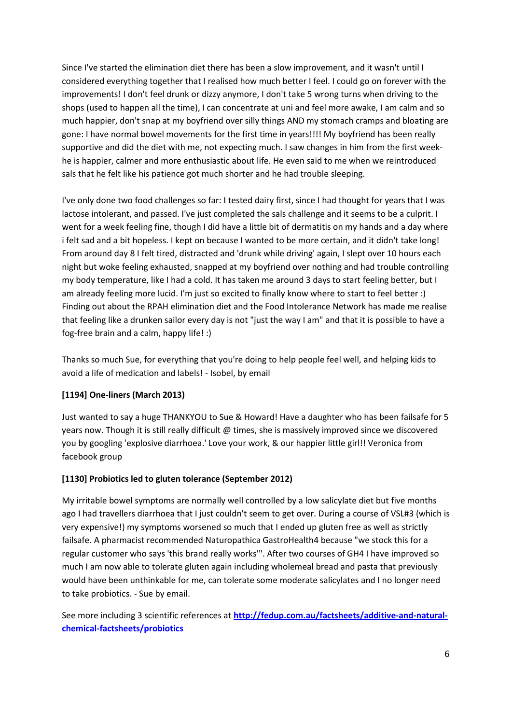Since I've started the elimination diet there has been a slow improvement, and it wasn't until I considered everything together that I realised how much better I feel. I could go on forever with the improvements! I don't feel drunk or dizzy anymore, I don't take 5 wrong turns when driving to the shops (used to happen all the time), I can concentrate at uni and feel more awake, I am calm and so much happier, don't snap at my boyfriend over silly things AND my stomach cramps and bloating are gone: I have normal bowel movements for the first time in years!!!! My boyfriend has been really supportive and did the diet with me, not expecting much. I saw changes in him from the first weekhe is happier, calmer and more enthusiastic about life. He even said to me when we reintroduced sals that he felt like his patience got much shorter and he had trouble sleeping.

I've only done two food challenges so far: I tested dairy first, since I had thought for years that I was lactose intolerant, and passed. I've just completed the sals challenge and it seems to be a culprit. I went for a week feeling fine, though I did have a little bit of dermatitis on my hands and a day where i felt sad and a bit hopeless. I kept on because I wanted to be more certain, and it didn't take long! From around day 8 I felt tired, distracted and 'drunk while driving' again, I slept over 10 hours each night but woke feeling exhausted, snapped at my boyfriend over nothing and had trouble controlling my body temperature, like I had a cold. It has taken me around 3 days to start feeling better, but I am already feeling more lucid. I'm just so excited to finally know where to start to feel better :) Finding out about the RPAH elimination diet and the Food Intolerance Network has made me realise that feeling like a drunken sailor every day is not "just the way I am" and that it is possible to have a fog-free brain and a calm, happy life! :)

Thanks so much Sue, for everything that you're doing to help people feel well, and helping kids to avoid a life of medication and labels! - Isobel, by email

### **[1194] One-liners (March 2013)**

Just wanted to say a huge THANKYOU to Sue & Howard! Have a daughter who has been failsafe for 5 years now. Though it is still really difficult @ times, she is massively improved since we discovered you by googling 'explosive diarrhoea.' Love your work, & our happier little girl!! Veronica from facebook group

### **[1130] Probiotics led to gluten tolerance (September 2012)**

My irritable bowel symptoms are normally well controlled by a low salicylate diet but five months ago I had travellers diarrhoea that I just couldn't seem to get over. During a course of VSL#3 (which is very expensive!) my symptoms worsened so much that I ended up gluten free as well as strictly failsafe. A pharmacist recommended Naturopathica GastroHealth4 because "we stock this for a regular customer who says 'this brand really works'". After two courses of GH4 I have improved so much I am now able to tolerate gluten again including wholemeal bread and pasta that previously would have been unthinkable for me, can tolerate some moderate salicylates and I no longer need to take probiotics. - Sue by email.

See more including 3 scientific references at **[http://fedup.com.au/factsheets/additive-and-natural](http://fedup.com.au/factsheets/additive-and-natural-chemical-factsheets/probiotics)[chemical-factsheets/probiotics](http://fedup.com.au/factsheets/additive-and-natural-chemical-factsheets/probiotics)**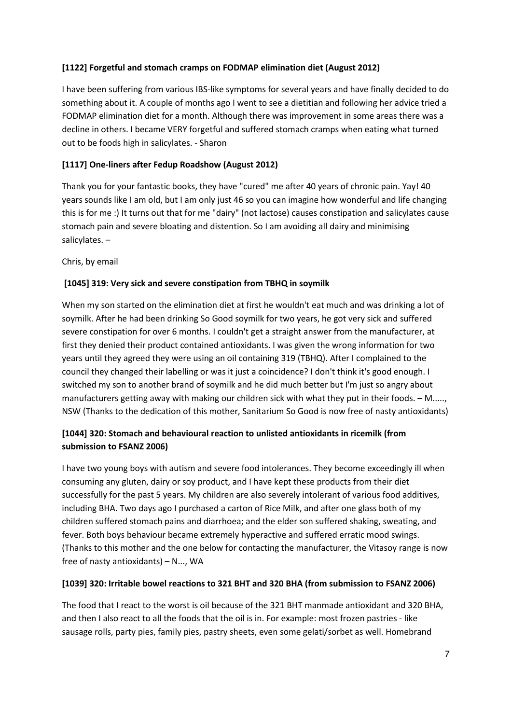# **[1122] Forgetful and stomach cramps on FODMAP elimination diet (August 2012)**

I have been suffering from various IBS-like symptoms for several years and have finally decided to do something about it. A couple of months ago I went to see a dietitian and following her advice tried a FODMAP elimination diet for a month. Although there was improvement in some areas there was a decline in others. I became VERY forgetful and suffered stomach cramps when eating what turned out to be foods high in salicylates. - Sharon

# **[1117] One-liners after Fedup Roadshow (August 2012)**

Thank you for your fantastic books, they have "cured" me after 40 years of chronic pain. Yay! 40 years sounds like I am old, but I am only just 46 so you can imagine how wonderful and life changing this is for me :) It turns out that for me "dairy" (not lactose) causes constipation and salicylates cause stomach pain and severe bloating and distention. So I am avoiding all dairy and minimising salicylates. –

Chris, by email

### **[1045] 319: Very sick and severe constipation from TBHQ in soymilk**

When my son started on the elimination diet at first he wouldn't eat much and was drinking a lot of soymilk. After he had been drinking So Good soymilk for two years, he got very sick and suffered severe constipation for over 6 months. I couldn't get a straight answer from the manufacturer, at first they denied their product contained antioxidants. I was given the wrong information for two years until they agreed they were using an oil containing 319 (TBHQ). After I complained to the council they changed their labelling or was it just a coincidence? I don't think it's good enough. I switched my son to another brand of soymilk and he did much better but I'm just so angry about manufacturers getting away with making our children sick with what they put in their foods. – M....., NSW (Thanks to the dedication of this mother, Sanitarium So Good is now free of nasty antioxidants)

# **[1044] 320: Stomach and behavioural reaction to unlisted antioxidants in ricemilk (from submission to FSANZ 2006)**

I have two young boys with autism and severe food intolerances. They become exceedingly ill when consuming any gluten, dairy or soy product, and I have kept these products from their diet successfully for the past 5 years. My children are also severely intolerant of various food additives, including BHA. Two days ago I purchased a carton of Rice Milk, and after one glass both of my children suffered stomach pains and diarrhoea; and the elder son suffered shaking, sweating, and fever. Both boys behaviour became extremely hyperactive and suffered erratic mood swings. (Thanks to this mother and the one below for contacting the manufacturer, the Vitasoy range is now free of nasty antioxidants) – N..., WA

### **[1039] 320: Irritable bowel reactions to 321 BHT and 320 BHA (from submission to FSANZ 2006)**

The food that I react to the worst is oil because of the 321 BHT manmade antioxidant and 320 BHA, and then I also react to all the foods that the oil is in. For example: most frozen pastries - like sausage rolls, party pies, family pies, pastry sheets, even some gelati/sorbet as well. Homebrand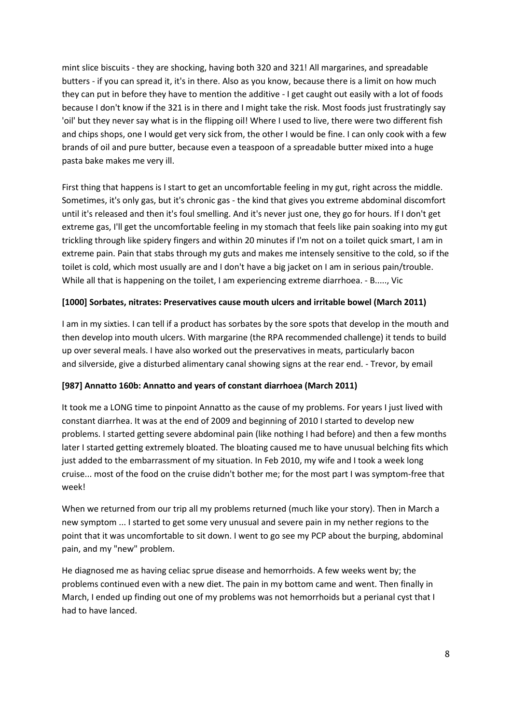mint slice biscuits - they are shocking, having both 320 and 321! All margarines, and spreadable butters - if you can spread it, it's in there. Also as you know, because there is a limit on how much they can put in before they have to mention the additive - I get caught out easily with a lot of foods because I don't know if the 321 is in there and I might take the risk. Most foods just frustratingly say 'oil' but they never say what is in the flipping oil! Where I used to live, there were two different fish and chips shops, one I would get very sick from, the other I would be fine. I can only cook with a few brands of oil and pure butter, because even a teaspoon of a spreadable butter mixed into a huge pasta bake makes me very ill.

First thing that happens is I start to get an uncomfortable feeling in my gut, right across the middle. Sometimes, it's only gas, but it's chronic gas - the kind that gives you extreme abdominal discomfort until it's released and then it's foul smelling. And it's never just one, they go for hours. If I don't get extreme gas, I'll get the uncomfortable feeling in my stomach that feels like pain soaking into my gut trickling through like spidery fingers and within 20 minutes if I'm not on a toilet quick smart, I am in extreme pain. Pain that stabs through my guts and makes me intensely sensitive to the cold, so if the toilet is cold, which most usually are and I don't have a big jacket on I am in serious pain/trouble. While all that is happening on the toilet, I am experiencing extreme diarrhoea. - B....., Vic

### **[1000] Sorbates, nitrates: Preservatives cause mouth ulcers and irritable bowel (March 2011)**

I am in my sixties. I can tell if a product has sorbates by the sore spots that develop in the mouth and then develop into mouth ulcers. With margarine (the RPA recommended challenge) it tends to build up over several meals. I have also worked out the preservatives in meats, particularly bacon and silverside, give a disturbed alimentary canal showing signs at the rear end. - Trevor, by email

### **[987] Annatto 160b: Annatto and years of constant diarrhoea (March 2011)**

It took me a LONG time to pinpoint Annatto as the cause of my problems. For years I just lived with constant diarrhea. It was at the end of 2009 and beginning of 2010 I started to develop new problems. I started getting severe abdominal pain (like nothing I had before) and then a few months later I started getting extremely bloated. The bloating caused me to have unusual belching fits which just added to the embarrassment of my situation. In Feb 2010, my wife and I took a week long cruise... most of the food on the cruise didn't bother me; for the most part I was symptom-free that week!

When we returned from our trip all my problems returned (much like your story). Then in March a new symptom ... I started to get some very unusual and severe pain in my nether regions to the point that it was uncomfortable to sit down. I went to go see my PCP about the burping, abdominal pain, and my "new" problem.

He diagnosed me as having celiac sprue disease and hemorrhoids. A few weeks went by; the problems continued even with a new diet. The pain in my bottom came and went. Then finally in March, I ended up finding out one of my problems was not hemorrhoids but a perianal cyst that I had to have lanced.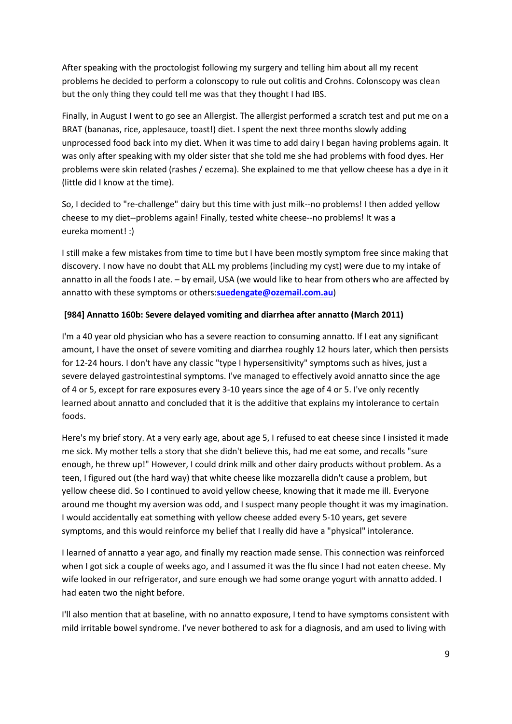After speaking with the proctologist following my surgery and telling him about all my recent problems he decided to perform a colonscopy to rule out colitis and Crohns. Colonscopy was clean but the only thing they could tell me was that they thought I had IBS.

Finally, in August I went to go see an Allergist. The allergist performed a scratch test and put me on a BRAT (bananas, rice, applesauce, toast!) diet. I spent the next three months slowly adding unprocessed food back into my diet. When it was time to add dairy I began having problems again. It was only after speaking with my older sister that she told me she had problems with food dyes. Her problems were skin related (rashes / eczema). She explained to me that yellow cheese has a dye in it (little did I know at the time).

So, I decided to "re-challenge" dairy but this time with just milk--no problems! I then added yellow cheese to my diet--problems again! Finally, tested white cheese--no problems! It was a eureka moment! :)

I still make a few mistakes from time to time but I have been mostly symptom free since making that discovery. I now have no doubt that ALL my problems (including my cyst) were due to my intake of annatto in all the foods I ate. – by email, USA (we would like to hear from others who are affected by annatto with these symptoms or others:**[suedengate@ozemail.com.au](mailto:suedengate@ozemail.com.au)**)

# **[984] Annatto 160b: Severe delayed vomiting and diarrhea after annatto (March 2011)**

I'm a 40 year old physician who has a severe reaction to consuming annatto. If I eat any significant amount, I have the onset of severe vomiting and diarrhea roughly 12 hours later, which then persists for 12-24 hours. I don't have any classic "type I hypersensitivity" symptoms such as hives, just a severe delayed gastrointestinal symptoms. I've managed to effectively avoid annatto since the age of 4 or 5, except for rare exposures every 3-10 years since the age of 4 or 5. I've only recently learned about annatto and concluded that it is the additive that explains my intolerance to certain foods.

Here's my brief story. At a very early age, about age 5, I refused to eat cheese since I insisted it made me sick. My mother tells a story that she didn't believe this, had me eat some, and recalls "sure enough, he threw up!" However, I could drink milk and other dairy products without problem. As a teen, I figured out (the hard way) that white cheese like mozzarella didn't cause a problem, but yellow cheese did. So I continued to avoid yellow cheese, knowing that it made me ill. Everyone around me thought my aversion was odd, and I suspect many people thought it was my imagination. I would accidentally eat something with yellow cheese added every 5-10 years, get severe symptoms, and this would reinforce my belief that I really did have a "physical" intolerance.

I learned of annatto a year ago, and finally my reaction made sense. This connection was reinforced when I got sick a couple of weeks ago, and I assumed it was the flu since I had not eaten cheese. My wife looked in our refrigerator, and sure enough we had some orange yogurt with annatto added. I had eaten two the night before.

I'll also mention that at baseline, with no annatto exposure, I tend to have symptoms consistent with mild irritable bowel syndrome. I've never bothered to ask for a diagnosis, and am used to living with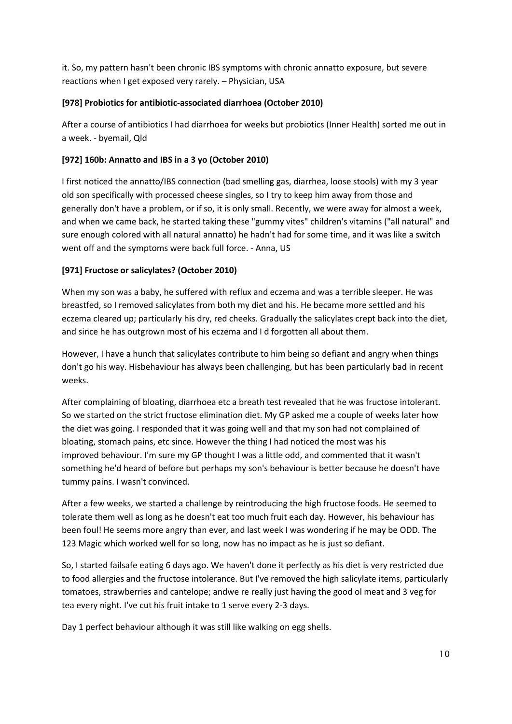it. So, my pattern hasn't been chronic IBS symptoms with chronic annatto exposure, but severe reactions when I get exposed very rarely. – Physician, USA

# **[978] Probiotics for antibiotic-associated diarrhoea (October 2010)**

After a course of antibiotics I had diarrhoea for weeks but probiotics (Inner Health) sorted me out in a week. - byemail, Qld

# **[972] 160b: Annatto and IBS in a 3 yo (October 2010)**

I first noticed the annatto/IBS connection (bad smelling gas, diarrhea, loose stools) with my 3 year old son specifically with processed cheese singles, so I try to keep him away from those and generally don't have a problem, or if so, it is only small. Recently, we were away for almost a week, and when we came back, he started taking these "gummy vites" children's vitamins ("all natural" and sure enough colored with all natural annatto) he hadn't had for some time, and it was like a switch went off and the symptoms were back full force. - Anna, US

# **[971] Fructose or salicylates? (October 2010)**

When my son was a baby, he suffered with reflux and eczema and was a terrible sleeper. He was breastfed, so I removed salicylates from both my diet and his. He became more settled and his eczema cleared up; particularly his dry, red cheeks. Gradually the salicylates crept back into the diet, and since he has outgrown most of his eczema and I d forgotten all about them.

However, I have a hunch that salicylates contribute to him being so defiant and angry when things don't go his way. Hisbehaviour has always been challenging, but has been particularly bad in recent weeks.

After complaining of bloating, diarrhoea etc a breath test revealed that he was fructose intolerant. So we started on the strict fructose elimination diet. My GP asked me a couple of weeks later how the diet was going. I responded that it was going well and that my son had not complained of bloating, stomach pains, etc since. However the thing I had noticed the most was his improved behaviour. I'm sure my GP thought I was a little odd, and commented that it wasn't something he'd heard of before but perhaps my son's behaviour is better because he doesn't have tummy pains. I wasn't convinced.

After a few weeks, we started a challenge by reintroducing the high fructose foods. He seemed to tolerate them well as long as he doesn't eat too much fruit each day. However, his behaviour has been foul! He seems more angry than ever, and last week I was wondering if he may be ODD. The 123 Magic which worked well for so long, now has no impact as he is just so defiant.

So, I started failsafe eating 6 days ago. We haven't done it perfectly as his diet is very restricted due to food allergies and the fructose intolerance. But I've removed the high salicylate items, particularly tomatoes, strawberries and cantelope; andwe re really just having the good ol meat and 3 veg for tea every night. I've cut his fruit intake to 1 serve every 2-3 days.

Day 1 perfect behaviour although it was still like walking on egg shells.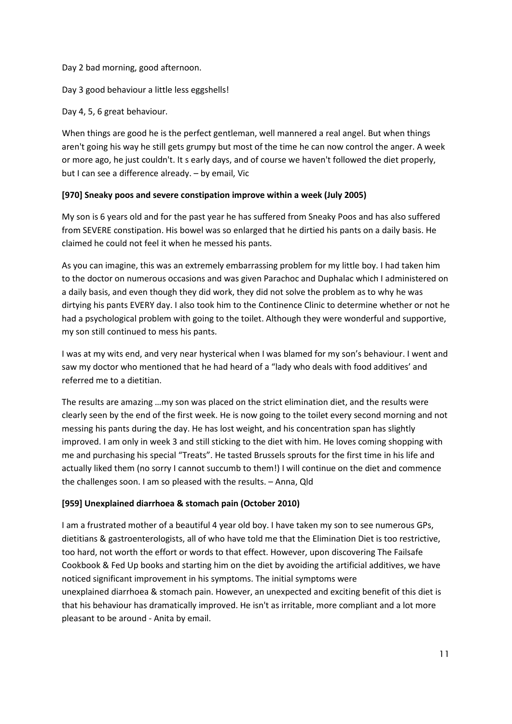Day 2 bad morning, good afternoon.

Day 3 good behaviour a little less eggshells!

Day 4, 5, 6 great behaviour.

When things are good he is the perfect gentleman, well mannered a real angel. But when things aren't going his way he still gets grumpy but most of the time he can now control the anger. A week or more ago, he just couldn't. It s early days, and of course we haven't followed the diet properly, but I can see a difference already. – by email, Vic

### **[970] Sneaky poos and severe constipation improve within a week (July 2005)**

My son is 6 years old and for the past year he has suffered from Sneaky Poos and has also suffered from SEVERE constipation. His bowel was so enlarged that he dirtied his pants on a daily basis. He claimed he could not feel it when he messed his pants.

As you can imagine, this was an extremely embarrassing problem for my little boy. I had taken him to the doctor on numerous occasions and was given Parachoc and Duphalac which I administered on a daily basis, and even though they did work, they did not solve the problem as to why he was dirtying his pants EVERY day. I also took him to the Continence Clinic to determine whether or not he had a psychological problem with going to the toilet. Although they were wonderful and supportive, my son still continued to mess his pants.

I was at my wits end, and very near hysterical when I was blamed for my son's behaviour. I went and saw my doctor who mentioned that he had heard of a "lady who deals with food additives' and referred me to a dietitian.

The results are amazing …my son was placed on the strict elimination diet, and the results were clearly seen by the end of the first week. He is now going to the toilet every second morning and not messing his pants during the day. He has lost weight, and his concentration span has slightly improved. I am only in week 3 and still sticking to the diet with him. He loves coming shopping with me and purchasing his special "Treats". He tasted Brussels sprouts for the first time in his life and actually liked them (no sorry I cannot succumb to them!) I will continue on the diet and commence the challenges soon. I am so pleased with the results. – Anna, Qld

### **[959] Unexplained diarrhoea & stomach pain (October 2010)**

I am a frustrated mother of a beautiful 4 year old boy. I have taken my son to see numerous GPs, dietitians & gastroenterologists, all of who have told me that the Elimination Diet is too restrictive, too hard, not worth the effort or words to that effect. However, upon discovering The Failsafe Cookbook & Fed Up books and starting him on the diet by avoiding the artificial additives, we have noticed significant improvement in his symptoms. The initial symptoms were unexplained diarrhoea & stomach pain. However, an unexpected and exciting benefit of this diet is that his behaviour has dramatically improved. He isn't as irritable, more compliant and a lot more pleasant to be around - Anita by email.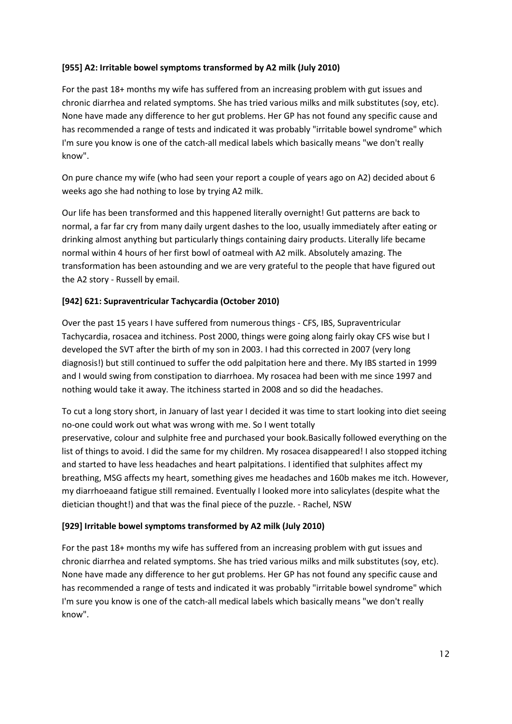### **[955] A2: Irritable bowel symptoms transformed by A2 milk (July 2010)**

For the past 18+ months my wife has suffered from an increasing problem with gut issues and chronic diarrhea and related symptoms. She has tried various milks and milk substitutes (soy, etc). None have made any difference to her gut problems. Her GP has not found any specific cause and has recommended a range of tests and indicated it was probably "irritable bowel syndrome" which I'm sure you know is one of the catch-all medical labels which basically means "we don't really know".

On pure chance my wife (who had seen your report a couple of years ago on A2) decided about 6 weeks ago she had nothing to lose by trying A2 milk.

Our life has been transformed and this happened literally overnight! Gut patterns are back to normal, a far far cry from many daily urgent dashes to the loo, usually immediately after eating or drinking almost anything but particularly things containing dairy products. Literally life became normal within 4 hours of her first bowl of oatmeal with A2 milk. Absolutely amazing. The transformation has been astounding and we are very grateful to the people that have figured out the A2 story - Russell by email.

# **[942] 621: Supraventricular Tachycardia (October 2010)**

Over the past 15 years I have suffered from numerous things - CFS, IBS, Supraventricular Tachycardia, rosacea and itchiness. Post 2000, things were going along fairly okay CFS wise but I developed the SVT after the birth of my son in 2003. I had this corrected in 2007 (very long diagnosis!) but still continued to suffer the odd palpitation here and there. My IBS started in 1999 and I would swing from constipation to diarrhoea. My rosacea had been with me since 1997 and nothing would take it away. The itchiness started in 2008 and so did the headaches.

To cut a long story short, in January of last year I decided it was time to start looking into diet seeing no-one could work out what was wrong with me. So I went totally preservative, colour and sulphite free and purchased your book.Basically followed everything on the list of things to avoid. I did the same for my children. My rosacea disappeared! I also stopped itching and started to have less headaches and heart palpitations. I identified that sulphites affect my breathing, MSG affects my heart, something gives me headaches and 160b makes me itch. However, my diarrhoeaand fatigue still remained. Eventually I looked more into salicylates (despite what the dietician thought!) and that was the final piece of the puzzle. - Rachel, NSW

### **[929] Irritable bowel symptoms transformed by A2 milk (July 2010)**

For the past 18+ months my wife has suffered from an increasing problem with gut issues and chronic diarrhea and related symptoms. She has tried various milks and milk substitutes (soy, etc). None have made any difference to her gut problems. Her GP has not found any specific cause and has recommended a range of tests and indicated it was probably "irritable bowel syndrome" which I'm sure you know is one of the catch-all medical labels which basically means "we don't really know".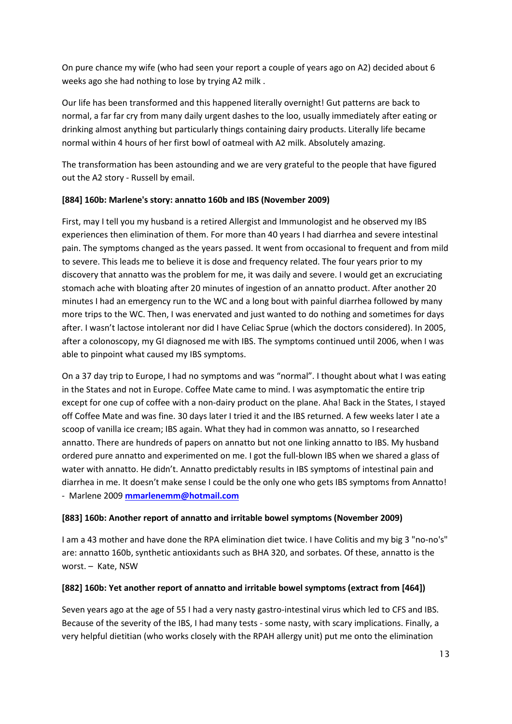On pure chance my wife (who had seen your report a couple of years ago on A2) decided about 6 weeks ago she had nothing to lose by trying A2 milk .

Our life has been transformed and this happened literally overnight! Gut patterns are back to normal, a far far cry from many daily urgent dashes to the loo, usually immediately after eating or drinking almost anything but particularly things containing dairy products. Literally life became normal within 4 hours of her first bowl of oatmeal with A2 milk. Absolutely amazing.

The transformation has been astounding and we are very grateful to the people that have figured out the A2 story - Russell by email.

### **[884] 160b: Marlene's story: annatto 160b and IBS (November 2009)**

First, may I tell you my husband is a retired Allergist and Immunologist and he observed my IBS experiences then elimination of them. For more than 40 years I had diarrhea and severe intestinal pain. The symptoms changed as the years passed. It went from occasional to frequent and from mild to severe. This leads me to believe it is dose and frequency related. The four years prior to my discovery that annatto was the problem for me, it was daily and severe. I would get an excruciating stomach ache with bloating after 20 minutes of ingestion of an annatto product. After another 20 minutes I had an emergency run to the WC and a long bout with painful diarrhea followed by many more trips to the WC. Then, I was enervated and just wanted to do nothing and sometimes for days after. I wasn't lactose intolerant nor did I have Celiac Sprue (which the doctors considered). In 2005, after a colonoscopy, my GI diagnosed me with IBS. The symptoms continued until 2006, when I was able to pinpoint what caused my IBS symptoms.

On a 37 day trip to Europe, I had no symptoms and was "normal". I thought about what I was eating in the States and not in Europe. Coffee Mate came to mind. I was asymptomatic the entire trip except for one cup of coffee with a non-dairy product on the plane. Aha! Back in the States, I stayed off Coffee Mate and was fine. 30 days later I tried it and the IBS returned. A few weeks later I ate a scoop of vanilla ice cream; IBS again. What they had in common was annatto, so I researched annatto. There are hundreds of papers on annatto but not one linking annatto to IBS. My husband ordered pure annatto and experimented on me. I got the full-blown IBS when we shared a glass of water with annatto. He didn't. Annatto predictably results in IBS symptoms of intestinal pain and diarrhea in me. It doesn't make sense I could be the only one who gets IBS symptoms from Annatto! - Marlene 2009 **[mmarlenemm@hotmail.com](mailto:mmarlenemm@hotmail.com)**

### **[883] 160b: Another report of annatto and irritable bowel symptoms (November 2009)**

I am a 43 mother and have done the RPA elimination diet twice. I have Colitis and my big 3 "no-no's" are: annatto 160b, synthetic antioxidants such as BHA 320, and sorbates. Of these, annatto is the worst. – Kate, NSW

### **[882] 160b: Yet another report of annatto and irritable bowel symptoms (extract from [464])**

Seven years ago at the age of 55 I had a very nasty gastro-intestinal virus which led to CFS and IBS. Because of the severity of the IBS, I had many tests - some nasty, with scary implications. Finally, a very helpful dietitian (who works closely with the RPAH allergy unit) put me onto the elimination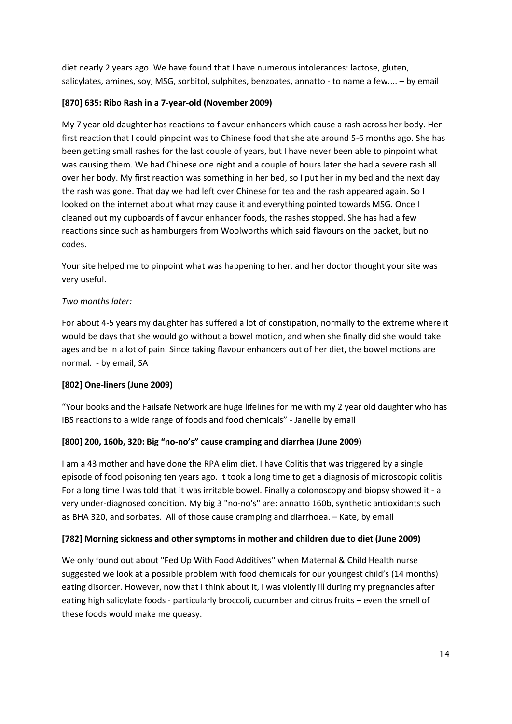diet nearly 2 years ago. We have found that I have numerous intolerances: lactose, gluten, salicylates, amines, soy, MSG, sorbitol, sulphites, benzoates, annatto - to name a few.... – by email

### **[870] 635: Ribo Rash in a 7-year-old (November 2009)**

My 7 year old daughter has reactions to flavour enhancers which cause a rash across her body. Her first reaction that I could pinpoint was to Chinese food that she ate around 5-6 months ago. She has been getting small rashes for the last couple of years, but I have never been able to pinpoint what was causing them. We had Chinese one night and a couple of hours later she had a severe rash all over her body. My first reaction was something in her bed, so I put her in my bed and the next day the rash was gone. That day we had left over Chinese for tea and the rash appeared again. So I looked on the internet about what may cause it and everything pointed towards MSG. Once I cleaned out my cupboards of flavour enhancer foods, the rashes stopped. She has had a few reactions since such as hamburgers from Woolworths which said flavours on the packet, but no codes.

Your site helped me to pinpoint what was happening to her, and her doctor thought your site was very useful.

# *Two months later:*

For about 4-5 years my daughter has suffered a lot of constipation, normally to the extreme where it would be days that she would go without a bowel motion, and when she finally did she would take ages and be in a lot of pain. Since taking flavour enhancers out of her diet, the bowel motions are normal. - by email, SA

# **[802] One-liners (June 2009)**

"Your books and the Failsafe Network are huge lifelines for me with my 2 year old daughter who has IBS reactions to a wide range of foods and food chemicals" - Janelle by email

### **[800] 200, 160b, 320: Big "no-no's" cause cramping and diarrhea (June 2009)**

I am a 43 mother and have done the RPA elim diet. I have Colitis that was triggered by a single episode of food poisoning ten years ago. It took a long time to get a diagnosis of microscopic colitis. For a long time I was told that it was irritable bowel. Finally a colonoscopy and biopsy showed it - a very under-diagnosed condition. My big 3 "no-no's" are: annatto 160b, synthetic antioxidants such as BHA 320, and sorbates. All of those cause cramping and diarrhoea. – Kate, by email

### **[782] Morning sickness and other symptoms in mother and children due to diet (June 2009)**

We only found out about "Fed Up With Food Additives" when Maternal & Child Health nurse suggested we look at a possible problem with food chemicals for our youngest child's (14 months) eating disorder. However, now that I think about it, I was violently ill during my pregnancies after eating high salicylate foods - particularly broccoli, cucumber and citrus fruits – even the smell of these foods would make me queasy.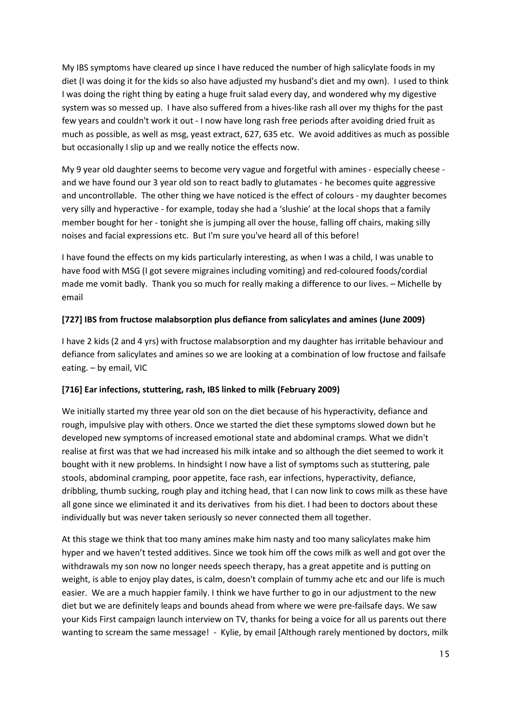My IBS symptoms have cleared up since I have reduced the number of high salicylate foods in my diet (I was doing it for the kids so also have adjusted my husband's diet and my own). I used to think I was doing the right thing by eating a huge fruit salad every day, and wondered why my digestive system was so messed up. I have also suffered from a hives-like rash all over my thighs for the past few years and couldn't work it out - I now have long rash free periods after avoiding dried fruit as much as possible, as well as msg, yeast extract, 627, 635 etc. We avoid additives as much as possible but occasionally I slip up and we really notice the effects now.

My 9 year old daughter seems to become very vague and forgetful with amines - especially cheese and we have found our 3 year old son to react badly to glutamates - he becomes quite aggressive and uncontrollable. The other thing we have noticed is the effect of colours - my daughter becomes very silly and hyperactive - for example, today she had a 'slushie' at the local shops that a family member bought for her - tonight she is jumping all over the house, falling off chairs, making silly noises and facial expressions etc. But I'm sure you've heard all of this before!

I have found the effects on my kids particularly interesting, as when I was a child, I was unable to have food with MSG (I got severe migraines including vomiting) and red-coloured foods/cordial made me vomit badly. Thank you so much for really making a difference to our lives. – Michelle by email

# **[727] IBS from fructose malabsorption plus defiance from salicylates and amines (June 2009)**

I have 2 kids (2 and 4 yrs) with fructose malabsorption and my daughter has irritable behaviour and defiance from salicylates and amines so we are looking at a combination of low fructose and failsafe eating. – by email, VIC

### **[716] Ear infections, stuttering, rash, IBS linked to milk (February 2009)**

We initially started my three year old son on the diet because of his hyperactivity, defiance and rough, impulsive play with others. Once we started the diet these symptoms slowed down but he developed new symptoms of increased emotional state and abdominal cramps. What we didn't realise at first was that we had increased his milk intake and so although the diet seemed to work it bought with it new problems. In hindsight I now have a list of symptoms such as stuttering, pale stools, abdominal cramping, poor appetite, face rash, ear infections, hyperactivity, defiance, dribbling, thumb sucking, rough play and itching head, that I can now link to cows milk as these have all gone since we eliminated it and its derivatives from his diet. I had been to doctors about these individually but was never taken seriously so never connected them all together.

At this stage we think that too many amines make him nasty and too many salicylates make him hyper and we haven't tested additives. Since we took him off the cows milk as well and got over the withdrawals my son now no longer needs speech therapy, has a great appetite and is putting on weight, is able to enjoy play dates, is calm, doesn't complain of tummy ache etc and our life is much easier. We are a much happier family. I think we have further to go in our adjustment to the new diet but we are definitely leaps and bounds ahead from where we were pre-failsafe days. We saw your Kids First campaign launch interview on TV, thanks for being a voice for all us parents out there wanting to scream the same message! - Kylie, by email [Although rarely mentioned by doctors, milk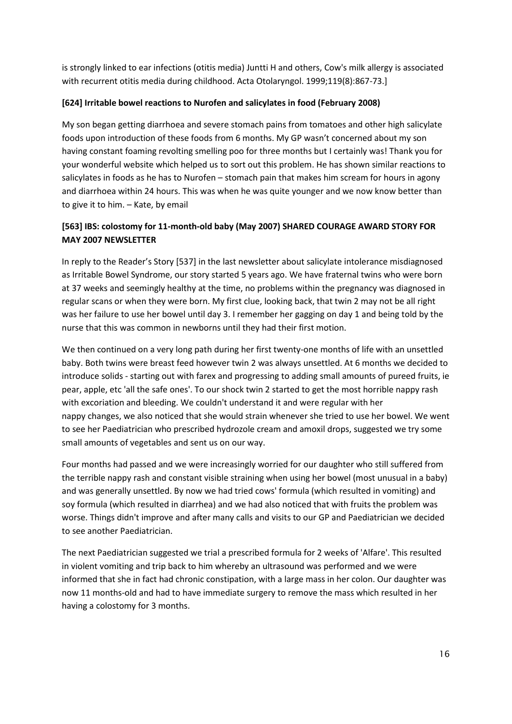is strongly linked to ear infections (otitis media) Juntti H and others, Cow's milk allergy is associated with recurrent otitis media during childhood. Acta Otolaryngol. 1999;119(8):867-73.]

### **[624] Irritable bowel reactions to Nurofen and salicylates in food (February 2008)**

My son began getting diarrhoea and severe stomach pains from tomatoes and other high salicylate foods upon introduction of these foods from 6 months. My GP wasn't concerned about my son having constant foaming revolting smelling poo for three months but I certainly was! Thank you for your wonderful website which helped us to sort out this problem. He has shown similar reactions to salicylates in foods as he has to Nurofen – stomach pain that makes him scream for hours in agony and diarrhoea within 24 hours. This was when he was quite younger and we now know better than to give it to him. – Kate, by email

# **[563] IBS: colostomy for 11-month-old baby (May 2007) SHARED COURAGE AWARD STORY FOR MAY 2007 NEWSLETTER**

In reply to the Reader's Story [537] in the last newsletter about salicylate intolerance misdiagnosed as Irritable Bowel Syndrome, our story started 5 years ago. We have fraternal twins who were born at 37 weeks and seemingly healthy at the time, no problems within the pregnancy was diagnosed in regular scans or when they were born. My first clue, looking back, that twin 2 may not be all right was her failure to use her bowel until day 3. I remember her gagging on day 1 and being told by the nurse that this was common in newborns until they had their first motion.

We then continued on a very long path during her first twenty-one months of life with an unsettled baby. Both twins were breast feed however twin 2 was always unsettled. At 6 months we decided to introduce solids - starting out with farex and progressing to adding small amounts of pureed fruits, ie pear, apple, etc 'all the safe ones'. To our shock twin 2 started to get the most horrible nappy rash with excoriation and bleeding. We couldn't understand it and were regular with her nappy changes, we also noticed that she would strain whenever she tried to use her bowel. We went to see her Paediatrician who prescribed hydrozole cream and amoxil drops, suggested we try some small amounts of vegetables and sent us on our way.

Four months had passed and we were increasingly worried for our daughter who still suffered from the terrible nappy rash and constant visible straining when using her bowel (most unusual in a baby) and was generally unsettled. By now we had tried cows' formula (which resulted in vomiting) and soy formula (which resulted in diarrhea) and we had also noticed that with fruits the problem was worse. Things didn't improve and after many calls and visits to our GP and Paediatrician we decided to see another Paediatrician.

The next Paediatrician suggested we trial a prescribed formula for 2 weeks of 'Alfare'. This resulted in violent vomiting and trip back to him whereby an ultrasound was performed and we were informed that she in fact had chronic constipation, with a large mass in her colon. Our daughter was now 11 months-old and had to have immediate surgery to remove the mass which resulted in her having a colostomy for 3 months.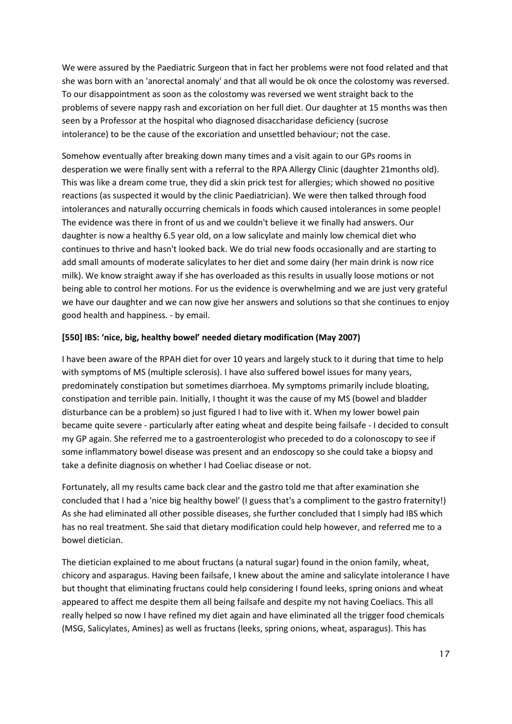We were assured by the Paediatric Surgeon that in fact her problems were not food related and that she was born with an 'anorectal anomaly' and that all would be ok once the colostomy was reversed. To our disappointment as soon as the colostomy was reversed we went straight back to the problems of severe nappy rash and excoriation on her full diet. Our daughter at 15 months was then seen by a Professor at the hospital who diagnosed disaccharidase deficiency (sucrose intolerance) to be the cause of the excoriation and unsettled behaviour; not the case.

Somehow eventually after breaking down many times and a visit again to our GPs rooms in desperation we were finally sent with a referral to the RPA Allergy Clinic (daughter 21months old). This was like a dream come true, they did a skin prick test for allergies; which showed no positive reactions (as suspected it would by the clinic Paediatrician). We were then talked through food intolerances and naturally occurring chemicals in foods which caused intolerances in some people! The evidence was there in front of us and we couldn't believe it we finally had answers. Our daughter is now a healthy 6.5 year old, on a low salicylate and mainly low chemical diet who continues to thrive and hasn't looked back. We do trial new foods occasionally and are starting to add small amounts of moderate salicylates to her diet and some dairy (her main drink is now rice milk). We know straight away if she has overloaded as this results in usually loose motions or not being able to control her motions. For us the evidence is overwhelming and we are just very grateful we have our daughter and we can now give her answers and solutions so that she continues to enjoy good health and happiness. - by email.

#### **[550] IBS: 'nice, big, healthy bowel' needed dietary modification (May 2007)**

I have been aware of the RPAH diet for over 10 years and largely stuck to it during that time to help with symptoms of MS (multiple sclerosis). I have also suffered bowel issues for many years, predominately constipation but sometimes diarrhoea. My symptoms primarily include bloating, constipation and terrible pain. Initially, I thought it was the cause of my MS (bowel and bladder disturbance can be a problem) so just figured I had to live with it. When my lower bowel pain became quite severe - particularly after eating wheat and despite being failsafe - I decided to consult my GP again. She referred me to a gastroenterologist who preceded to do a colonoscopy to see if some inflammatory bowel disease was present and an endoscopy so she could take a biopsy and take a definite diagnosis on whether I had Coeliac disease or not.

Fortunately, all my results came back clear and the gastro told me that after examination she concluded that I had a 'nice big healthy bowel' (I guess that's a compliment to the gastro fraternity!) As she had eliminated all other possible diseases, she further concluded that I simply had IBS which has no real treatment. She said that dietary modification could help however, and referred me to a bowel dietician.

The dietician explained to me about fructans (a natural sugar) found in the onion family, wheat, chicory and asparagus. Having been failsafe, I knew about the amine and salicylate intolerance I have but thought that eliminating fructans could help considering I found leeks, spring onions and wheat appeared to affect me despite them all being failsafe and despite my not having Coeliacs. This all really helped so now I have refined my diet again and have eliminated all the trigger food chemicals (MSG, Salicylates, Amines) as well as fructans (leeks, spring onions, wheat, asparagus). This has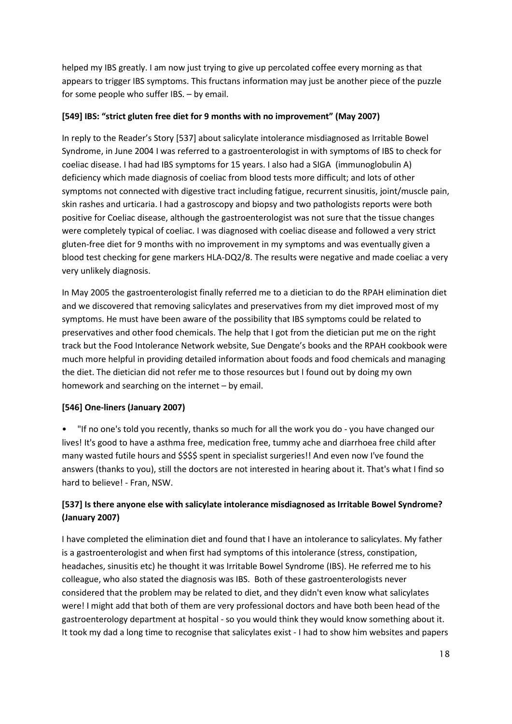helped my IBS greatly. I am now just trying to give up percolated coffee every morning as that appears to trigger IBS symptoms. This fructans information may just be another piece of the puzzle for some people who suffer IBS. – by email.

### **[549] IBS: "strict gluten free diet for 9 months with no improvement" (May 2007)**

In reply to the Reader's Story [537] about salicylate intolerance misdiagnosed as Irritable Bowel Syndrome, in June 2004 I was referred to a gastroenterologist in with symptoms of IBS to check for coeliac disease. I had had IBS symptoms for 15 years. I also had a SIGA (immunoglobulin A) deficiency which made diagnosis of coeliac from blood tests more difficult; and lots of other symptoms not connected with digestive tract including fatigue, recurrent sinusitis, joint/muscle pain, skin rashes and urticaria. I had a gastroscopy and biopsy and two pathologists reports were both positive for Coeliac disease, although the gastroenterologist was not sure that the tissue changes were completely typical of coeliac. I was diagnosed with coeliac disease and followed a very strict gluten-free diet for 9 months with no improvement in my symptoms and was eventually given a blood test checking for gene markers HLA-DQ2/8. The results were negative and made coeliac a very very unlikely diagnosis.

In May 2005 the gastroenterologist finally referred me to a dietician to do the RPAH elimination diet and we discovered that removing salicylates and preservatives from my diet improved most of my symptoms. He must have been aware of the possibility that IBS symptoms could be related to preservatives and other food chemicals. The help that I got from the dietician put me on the right track but the Food Intolerance Network website, Sue Dengate's books and the RPAH cookbook were much more helpful in providing detailed information about foods and food chemicals and managing the diet. The dietician did not refer me to those resources but I found out by doing my own homework and searching on the internet – by email.

# **[546] One-liners (January 2007)**

• "If no one's told you recently, thanks so much for all the work you do - you have changed our lives! It's good to have a asthma free, medication free, tummy ache and diarrhoea free child after many wasted futile hours and \$\$\$\$ spent in specialist surgeries!! And even now I've found the answers (thanks to you), still the doctors are not interested in hearing about it. That's what I find so hard to believe! - Fran, NSW.

# **[537] Is there anyone else with salicylate intolerance misdiagnosed as Irritable Bowel Syndrome? (January 2007)**

I have completed the elimination diet and found that I have an intolerance to salicylates. My father is a gastroenterologist and when first had symptoms of this intolerance (stress, constipation, headaches, sinusitis etc) he thought it was Irritable Bowel Syndrome (IBS). He referred me to his colleague, who also stated the diagnosis was IBS. Both of these gastroenterologists never considered that the problem may be related to diet, and they didn't even know what salicylates were! I might add that both of them are very professional doctors and have both been head of the gastroenterology department at hospital - so you would think they would know something about it. It took my dad a long time to recognise that salicylates exist - I had to show him websites and papers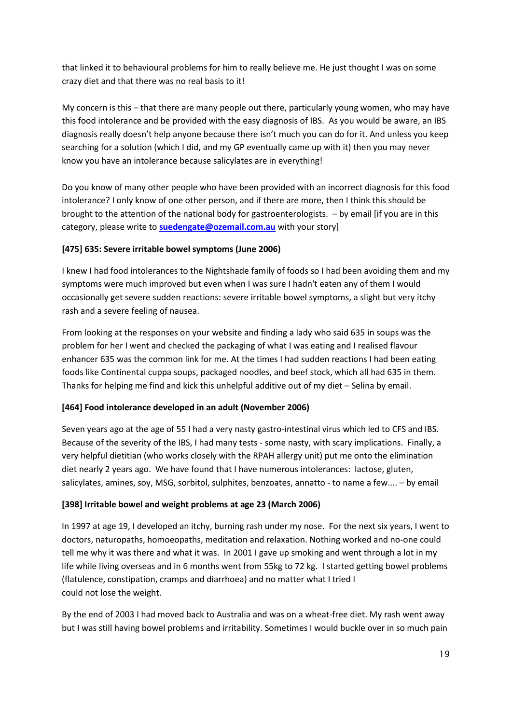that linked it to behavioural problems for him to really believe me. He just thought I was on some crazy diet and that there was no real basis to it!

My concern is this – that there are many people out there, particularly young women, who may have this food intolerance and be provided with the easy diagnosis of IBS. As you would be aware, an IBS diagnosis really doesn't help anyone because there isn't much you can do for it. And unless you keep searching for a solution (which I did, and my GP eventually came up with it) then you may never know you have an intolerance because salicylates are in everything!

Do you know of many other people who have been provided with an incorrect diagnosis for this food intolerance? I only know of one other person, and if there are more, then I think this should be brought to the attention of the national body for gastroenterologists. – by email [if you are in this category, please write to **[suedengate@ozemail.com.au](mailto:suedengate@ozemail.com.au)** with your story]

# **[475] 635: Severe irritable bowel symptoms (June 2006)**

I knew I had food intolerances to the Nightshade family of foods so I had been avoiding them and my symptoms were much improved but even when I was sure I hadn't eaten any of them I would occasionally get severe sudden reactions: severe irritable bowel symptoms, a slight but very itchy rash and a severe feeling of nausea.

From looking at the responses on your website and finding a lady who said 635 in soups was the problem for her I went and checked the packaging of what I was eating and I realised flavour enhancer 635 was the common link for me. At the times I had sudden reactions I had been eating foods like Continental cuppa soups, packaged noodles, and beef stock, which all had 635 in them. Thanks for helping me find and kick this unhelpful additive out of my diet – Selina by email.

### **[464] Food intolerance developed in an adult (November 2006)**

Seven years ago at the age of 55 I had a very nasty gastro-intestinal virus which led to CFS and IBS. Because of the severity of the IBS, I had many tests - some nasty, with scary implications. Finally, a very helpful dietitian (who works closely with the RPAH allergy unit) put me onto the elimination diet nearly 2 years ago. We have found that I have numerous intolerances: lactose, gluten, salicylates, amines, soy, MSG, sorbitol, sulphites, benzoates, annatto - to name a few.... – by email

### **[398] Irritable bowel and weight problems at age 23 (March 2006)**

In 1997 at age 19, I developed an itchy, burning rash under my nose. For the next six years, I went to doctors, naturopaths, homoeopaths, meditation and relaxation. Nothing worked and no-one could tell me why it was there and what it was. In 2001 I gave up smoking and went through a lot in my life while living overseas and in 6 months went from 55kg to 72 kg. I started getting bowel problems (flatulence, constipation, cramps and diarrhoea) and no matter what I tried I could not lose the weight.

By the end of 2003 I had moved back to Australia and was on a wheat-free diet. My rash went away but I was still having bowel problems and irritability. Sometimes I would buckle over in so much pain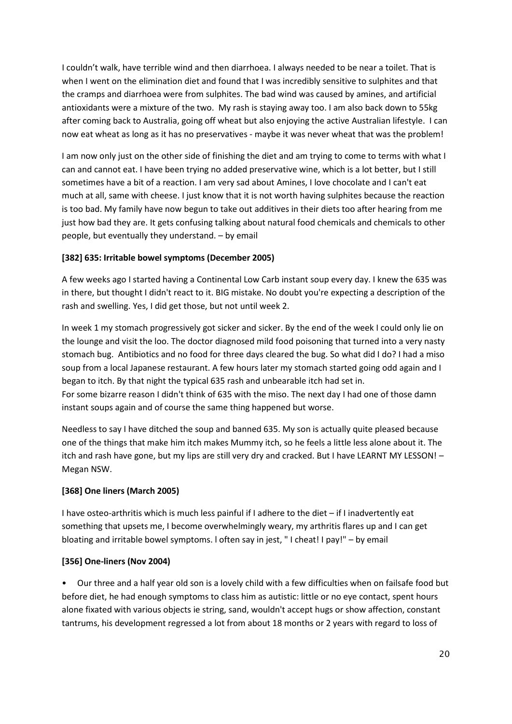I couldn't walk, have terrible wind and then diarrhoea. I always needed to be near a toilet. That is when I went on the elimination diet and found that I was incredibly sensitive to sulphites and that the cramps and diarrhoea were from sulphites. The bad wind was caused by amines, and artificial antioxidants were a mixture of the two. My rash is staying away too. I am also back down to 55kg after coming back to Australia, going off wheat but also enjoying the active Australian lifestyle. I can now eat wheat as long as it has no preservatives - maybe it was never wheat that was the problem!

I am now only just on the other side of finishing the diet and am trying to come to terms with what I can and cannot eat. I have been trying no added preservative wine, which is a lot better, but I still sometimes have a bit of a reaction. I am very sad about Amines, I love chocolate and I can't eat much at all, same with cheese. I just know that it is not worth having sulphites because the reaction is too bad. My family have now begun to take out additives in their diets too after hearing from me just how bad they are. It gets confusing talking about natural food chemicals and chemicals to other people, but eventually they understand. – by email

# **[382] 635: Irritable bowel symptoms (December 2005)**

A few weeks ago I started having a Continental Low Carb instant soup every day. I knew the 635 was in there, but thought I didn't react to it. BIG mistake. No doubt you're expecting a description of the rash and swelling. Yes, I did get those, but not until week 2.

In week 1 my stomach progressively got sicker and sicker. By the end of the week I could only lie on the lounge and visit the loo. The doctor diagnosed mild food poisoning that turned into a very nasty stomach bug. Antibiotics and no food for three days cleared the bug. So what did I do? I had a miso soup from a local Japanese restaurant. A few hours later my stomach started going odd again and I began to itch. By that night the typical 635 rash and unbearable itch had set in. For some bizarre reason I didn't think of 635 with the miso. The next day I had one of those damn instant soups again and of course the same thing happened but worse.

Needless to say I have ditched the soup and banned 635. My son is actually quite pleased because one of the things that make him itch makes Mummy itch, so he feels a little less alone about it. The itch and rash have gone, but my lips are still very dry and cracked. But I have LEARNT MY LESSON! – Megan NSW.

### **[368] One liners (March 2005)**

I have osteo-arthritis which is much less painful if I adhere to the diet – if I inadvertently eat something that upsets me, I become overwhelmingly weary, my arthritis flares up and I can get bloating and irritable bowel symptoms. l often say in jest, " I cheat! I pay!" – by email

### **[356] One-liners (Nov 2004)**

• Our three and a half year old son is a lovely child with a few difficulties when on failsafe food but before diet, he had enough symptoms to class him as autistic: little or no eye contact, spent hours alone fixated with various objects ie string, sand, wouldn't accept hugs or show affection, constant tantrums, his development regressed a lot from about 18 months or 2 years with regard to loss of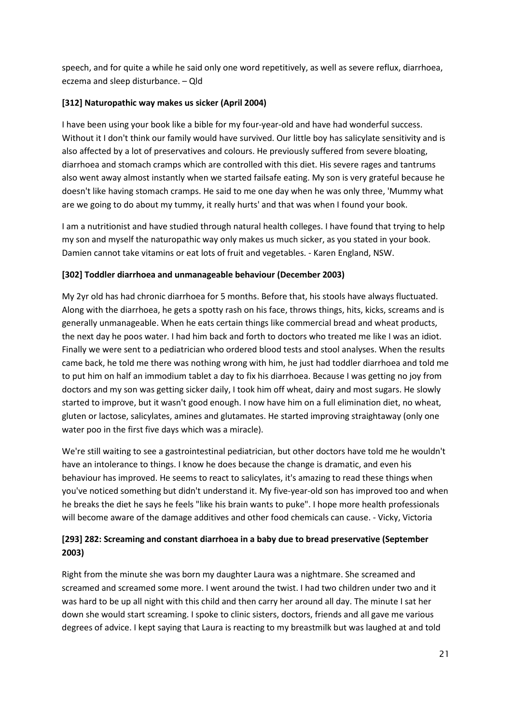speech, and for quite a while he said only one word repetitively, as well as severe reflux, diarrhoea, eczema and sleep disturbance. – Qld

### **[312] Naturopathic way makes us sicker (April 2004)**

I have been using your book like a bible for my four-year-old and have had wonderful success. Without it I don't think our family would have survived. Our little boy has salicylate sensitivity and is also affected by a lot of preservatives and colours. He previously suffered from severe bloating, diarrhoea and stomach cramps which are controlled with this diet. His severe rages and tantrums also went away almost instantly when we started failsafe eating. My son is very grateful because he doesn't like having stomach cramps. He said to me one day when he was only three, 'Mummy what are we going to do about my tummy, it really hurts' and that was when I found your book.

I am a nutritionist and have studied through natural health colleges. I have found that trying to help my son and myself the naturopathic way only makes us much sicker, as you stated in your book. Damien cannot take vitamins or eat lots of fruit and vegetables. - Karen England, NSW.

# **[302] Toddler diarrhoea and unmanageable behaviour (December 2003)**

My 2yr old has had chronic diarrhoea for 5 months. Before that, his stools have always fluctuated. Along with the diarrhoea, he gets a spotty rash on his face, throws things, hits, kicks, screams and is generally unmanageable. When he eats certain things like commercial bread and wheat products, the next day he poos water. I had him back and forth to doctors who treated me like I was an idiot. Finally we were sent to a pediatrician who ordered blood tests and stool analyses. When the results came back, he told me there was nothing wrong with him, he just had toddler diarrhoea and told me to put him on half an immodium tablet a day to fix his diarrhoea. Because I was getting no joy from doctors and my son was getting sicker daily, I took him off wheat, dairy and most sugars. He slowly started to improve, but it wasn't good enough. I now have him on a full elimination diet, no wheat, gluten or lactose, salicylates, amines and glutamates. He started improving straightaway (only one water poo in the first five days which was a miracle).

We're still waiting to see a gastrointestinal pediatrician, but other doctors have told me he wouldn't have an intolerance to things. I know he does because the change is dramatic, and even his behaviour has improved. He seems to react to salicylates, it's amazing to read these things when you've noticed something but didn't understand it. My five-year-old son has improved too and when he breaks the diet he says he feels "like his brain wants to puke". I hope more health professionals will become aware of the damage additives and other food chemicals can cause. - Vicky, Victoria

# **[293] 282: Screaming and constant diarrhoea in a baby due to bread preservative (September 2003)**

Right from the minute she was born my daughter Laura was a nightmare. She screamed and screamed and screamed some more. I went around the twist. I had two children under two and it was hard to be up all night with this child and then carry her around all day. The minute I sat her down she would start screaming. I spoke to clinic sisters, doctors, friends and all gave me various degrees of advice. I kept saying that Laura is reacting to my breastmilk but was laughed at and told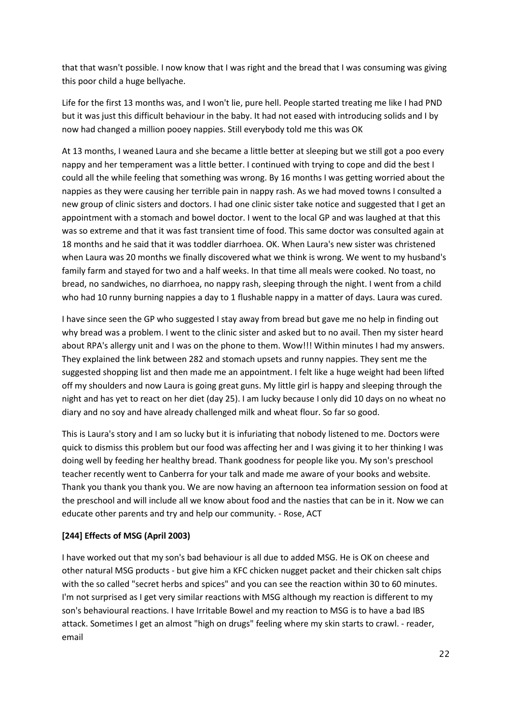that that wasn't possible. I now know that I was right and the bread that I was consuming was giving this poor child a huge bellyache.

Life for the first 13 months was, and I won't lie, pure hell. People started treating me like I had PND but it was just this difficult behaviour in the baby. It had not eased with introducing solids and I by now had changed a million pooey nappies. Still everybody told me this was OK

At 13 months, I weaned Laura and she became a little better at sleeping but we still got a poo every nappy and her temperament was a little better. I continued with trying to cope and did the best I could all the while feeling that something was wrong. By 16 months I was getting worried about the nappies as they were causing her terrible pain in nappy rash. As we had moved towns I consulted a new group of clinic sisters and doctors. I had one clinic sister take notice and suggested that I get an appointment with a stomach and bowel doctor. I went to the local GP and was laughed at that this was so extreme and that it was fast transient time of food. This same doctor was consulted again at 18 months and he said that it was toddler diarrhoea. OK. When Laura's new sister was christened when Laura was 20 months we finally discovered what we think is wrong. We went to my husband's family farm and stayed for two and a half weeks. In that time all meals were cooked. No toast, no bread, no sandwiches, no diarrhoea, no nappy rash, sleeping through the night. I went from a child who had 10 runny burning nappies a day to 1 flushable nappy in a matter of days. Laura was cured.

I have since seen the GP who suggested I stay away from bread but gave me no help in finding out why bread was a problem. I went to the clinic sister and asked but to no avail. Then my sister heard about RPA's allergy unit and I was on the phone to them. Wow!!! Within minutes I had my answers. They explained the link between 282 and stomach upsets and runny nappies. They sent me the suggested shopping list and then made me an appointment. I felt like a huge weight had been lifted off my shoulders and now Laura is going great guns. My little girl is happy and sleeping through the night and has yet to react on her diet (day 25). I am lucky because I only did 10 days on no wheat no diary and no soy and have already challenged milk and wheat flour. So far so good.

This is Laura's story and I am so lucky but it is infuriating that nobody listened to me. Doctors were quick to dismiss this problem but our food was affecting her and I was giving it to her thinking I was doing well by feeding her healthy bread. Thank goodness for people like you. My son's preschool teacher recently went to Canberra for your talk and made me aware of your books and website. Thank you thank you thank you. We are now having an afternoon tea information session on food at the preschool and will include all we know about food and the nasties that can be in it. Now we can educate other parents and try and help our community. - Rose, ACT

### **[244] Effects of MSG (April 2003)**

I have worked out that my son's bad behaviour is all due to added MSG. He is OK on cheese and other natural MSG products - but give him a KFC chicken nugget packet and their chicken salt chips with the so called "secret herbs and spices" and you can see the reaction within 30 to 60 minutes. I'm not surprised as I get very similar reactions with MSG although my reaction is different to my son's behavioural reactions. I have Irritable Bowel and my reaction to MSG is to have a bad IBS attack. Sometimes I get an almost "high on drugs" feeling where my skin starts to crawl. - reader, email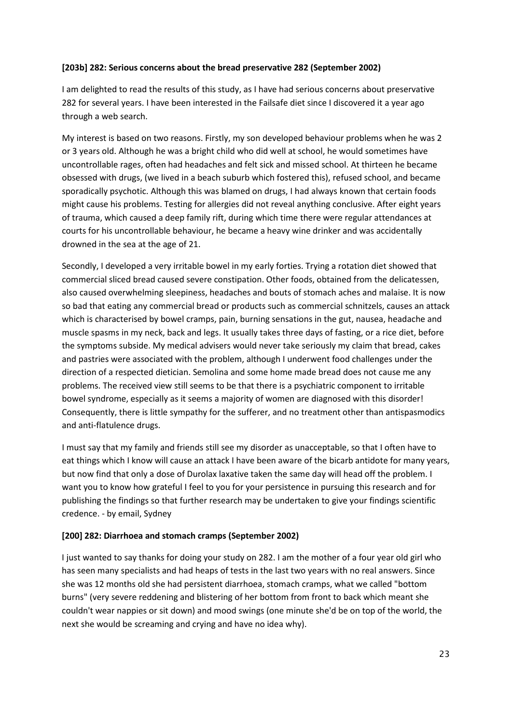#### **[203b] 282: Serious concerns about the bread preservative 282 (September 2002)**

I am delighted to read the results of this study, as I have had serious concerns about preservative 282 for several years. I have been interested in the Failsafe diet since I discovered it a year ago through a web search.

My interest is based on two reasons. Firstly, my son developed behaviour problems when he was 2 or 3 years old. Although he was a bright child who did well at school, he would sometimes have uncontrollable rages, often had headaches and felt sick and missed school. At thirteen he became obsessed with drugs, (we lived in a beach suburb which fostered this), refused school, and became sporadically psychotic. Although this was blamed on drugs, I had always known that certain foods might cause his problems. Testing for allergies did not reveal anything conclusive. After eight years of trauma, which caused a deep family rift, during which time there were regular attendances at courts for his uncontrollable behaviour, he became a heavy wine drinker and was accidentally drowned in the sea at the age of 21.

Secondly, I developed a very irritable bowel in my early forties. Trying a rotation diet showed that commercial sliced bread caused severe constipation. Other foods, obtained from the delicatessen, also caused overwhelming sleepiness, headaches and bouts of stomach aches and malaise. It is now so bad that eating any commercial bread or products such as commercial schnitzels, causes an attack which is characterised by bowel cramps, pain, burning sensations in the gut, nausea, headache and muscle spasms in my neck, back and legs. It usually takes three days of fasting, or a rice diet, before the symptoms subside. My medical advisers would never take seriously my claim that bread, cakes and pastries were associated with the problem, although I underwent food challenges under the direction of a respected dietician. Semolina and some home made bread does not cause me any problems. The received view still seems to be that there is a psychiatric component to irritable bowel syndrome, especially as it seems a majority of women are diagnosed with this disorder! Consequently, there is little sympathy for the sufferer, and no treatment other than antispasmodics and anti-flatulence drugs.

I must say that my family and friends still see my disorder as unacceptable, so that I often have to eat things which I know will cause an attack I have been aware of the bicarb antidote for many years, but now find that only a dose of Durolax laxative taken the same day will head off the problem. I want you to know how grateful I feel to you for your persistence in pursuing this research and for publishing the findings so that further research may be undertaken to give your findings scientific credence. - by email, Sydney

### **[200] 282: Diarrhoea and stomach cramps (September 2002)**

I just wanted to say thanks for doing your study on 282. I am the mother of a four year old girl who has seen many specialists and had heaps of tests in the last two years with no real answers. Since she was 12 months old she had persistent diarrhoea, stomach cramps, what we called "bottom burns" (very severe reddening and blistering of her bottom from front to back which meant she couldn't wear nappies or sit down) and mood swings (one minute she'd be on top of the world, the next she would be screaming and crying and have no idea why).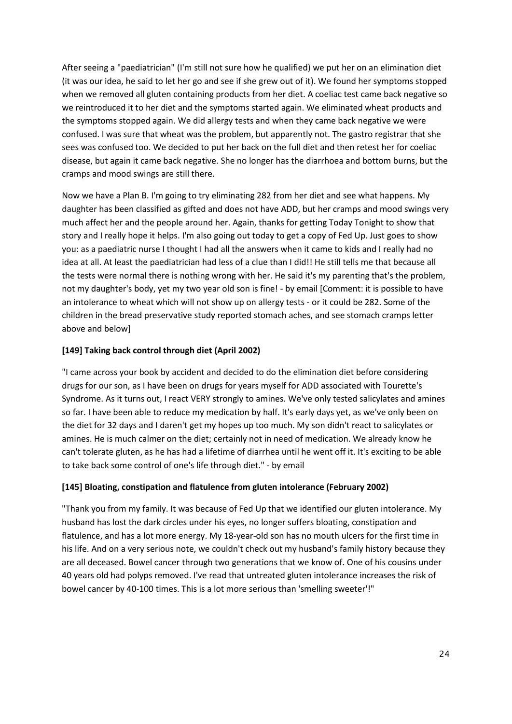After seeing a "paediatrician" (I'm still not sure how he qualified) we put her on an elimination diet (it was our idea, he said to let her go and see if she grew out of it). We found her symptoms stopped when we removed all gluten containing products from her diet. A coeliac test came back negative so we reintroduced it to her diet and the symptoms started again. We eliminated wheat products and the symptoms stopped again. We did allergy tests and when they came back negative we were confused. I was sure that wheat was the problem, but apparently not. The gastro registrar that she sees was confused too. We decided to put her back on the full diet and then retest her for coeliac disease, but again it came back negative. She no longer has the diarrhoea and bottom burns, but the cramps and mood swings are still there.

Now we have a Plan B. I'm going to try eliminating 282 from her diet and see what happens. My daughter has been classified as gifted and does not have ADD, but her cramps and mood swings very much affect her and the people around her. Again, thanks for getting Today Tonight to show that story and I really hope it helps. I'm also going out today to get a copy of Fed Up. Just goes to show you: as a paediatric nurse I thought I had all the answers when it came to kids and I really had no idea at all. At least the paediatrician had less of a clue than I did!! He still tells me that because all the tests were normal there is nothing wrong with her. He said it's my parenting that's the problem, not my daughter's body, yet my two year old son is fine! - by email [Comment: it is possible to have an intolerance to wheat which will not show up on allergy tests - or it could be 282. Some of the children in the bread preservative study reported stomach aches, and see stomach cramps letter above and below]

### **[149] Taking back control through diet (April 2002)**

"I came across your book by accident and decided to do the elimination diet before considering drugs for our son, as I have been on drugs for years myself for ADD associated with Tourette's Syndrome. As it turns out, I react VERY strongly to amines. We've only tested salicylates and amines so far. I have been able to reduce my medication by half. It's early days yet, as we've only been on the diet for 32 days and I daren't get my hopes up too much. My son didn't react to salicylates or amines. He is much calmer on the diet; certainly not in need of medication. We already know he can't tolerate gluten, as he has had a lifetime of diarrhea until he went off it. It's exciting to be able to take back some control of one's life through diet." - by email

### **[145] Bloating, constipation and flatulence from gluten intolerance (February 2002)**

"Thank you from my family. It was because of Fed Up that we identified our gluten intolerance. My husband has lost the dark circles under his eyes, no longer suffers bloating, constipation and flatulence, and has a lot more energy. My 18-year-old son has no mouth ulcers for the first time in his life. And on a very serious note, we couldn't check out my husband's family history because they are all deceased. Bowel cancer through two generations that we know of. One of his cousins under 40 years old had polyps removed. I've read that untreated gluten intolerance increases the risk of bowel cancer by 40-100 times. This is a lot more serious than 'smelling sweeter'!"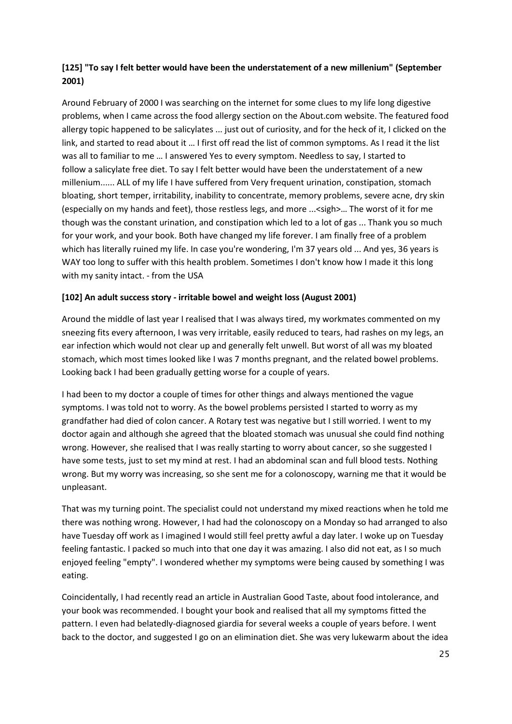# **[125] "To say I felt better would have been the understatement of a new millenium" (September 2001)**

Around February of 2000 I was searching on the internet for some clues to my life long digestive problems, when I came across the food allergy section on the About.com website. The featured food allergy topic happened to be salicylates ... just out of curiosity, and for the heck of it, I clicked on the link, and started to read about it … I first off read the list of common symptoms. As I read it the list was all to familiar to me … I answered Yes to every symptom. Needless to say, I started to follow a salicylate free diet. To say I felt better would have been the understatement of a new millenium...... ALL of my life I have suffered from Very frequent urination, constipation, stomach bloating, short temper, irritability, inability to concentrate, memory problems, severe acne, dry skin (especially on my hands and feet), those restless legs, and more ...<sigh>… The worst of it for me though was the constant urination, and constipation which led to a lot of gas ... Thank you so much for your work, and your book. Both have changed my life forever. I am finally free of a problem which has literally ruined my life. In case you're wondering, I'm 37 years old ... And yes, 36 years is WAY too long to suffer with this health problem. Sometimes I don't know how I made it this long with my sanity intact. - from the USA

### **[102] An adult success story - irritable bowel and weight loss (August 2001)**

Around the middle of last year I realised that I was always tired, my workmates commented on my sneezing fits every afternoon, I was very irritable, easily reduced to tears, had rashes on my legs, an ear infection which would not clear up and generally felt unwell. But worst of all was my bloated stomach, which most times looked like I was 7 months pregnant, and the related bowel problems. Looking back I had been gradually getting worse for a couple of years.

I had been to my doctor a couple of times for other things and always mentioned the vague symptoms. I was told not to worry. As the bowel problems persisted I started to worry as my grandfather had died of colon cancer. A Rotary test was negative but I still worried. I went to my doctor again and although she agreed that the bloated stomach was unusual she could find nothing wrong. However, she realised that I was really starting to worry about cancer, so she suggested I have some tests, just to set my mind at rest. I had an abdominal scan and full blood tests. Nothing wrong. But my worry was increasing, so she sent me for a colonoscopy, warning me that it would be unpleasant.

That was my turning point. The specialist could not understand my mixed reactions when he told me there was nothing wrong. However, I had had the colonoscopy on a Monday so had arranged to also have Tuesday off work as I imagined I would still feel pretty awful a day later. I woke up on Tuesday feeling fantastic. I packed so much into that one day it was amazing. I also did not eat, as I so much enjoyed feeling "empty". I wondered whether my symptoms were being caused by something I was eating.

Coincidentally, I had recently read an article in Australian Good Taste, about food intolerance, and your book was recommended. I bought your book and realised that all my symptoms fitted the pattern. I even had belatedly-diagnosed giardia for several weeks a couple of years before. I went back to the doctor, and suggested I go on an elimination diet. She was very lukewarm about the idea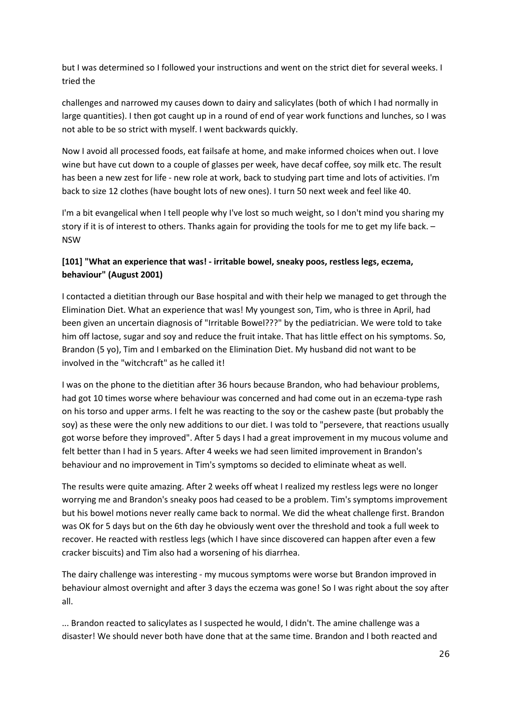but I was determined so I followed your instructions and went on the strict diet for several weeks. I tried the

challenges and narrowed my causes down to dairy and salicylates (both of which I had normally in large quantities). I then got caught up in a round of end of year work functions and lunches, so I was not able to be so strict with myself. I went backwards quickly.

Now I avoid all processed foods, eat failsafe at home, and make informed choices when out. I love wine but have cut down to a couple of glasses per week, have decaf coffee, soy milk etc. The result has been a new zest for life - new role at work, back to studying part time and lots of activities. I'm back to size 12 clothes (have bought lots of new ones). I turn 50 next week and feel like 40.

I'm a bit evangelical when I tell people why I've lost so much weight, so I don't mind you sharing my story if it is of interest to others. Thanks again for providing the tools for me to get my life back. – NSW

# **[101] "What an experience that was! - irritable bowel, sneaky poos, restless legs, eczema, behaviour" (August 2001)**

I contacted a dietitian through our Base hospital and with their help we managed to get through the Elimination Diet. What an experience that was! My youngest son, Tim, who is three in April, had been given an uncertain diagnosis of "Irritable Bowel???" by the pediatrician. We were told to take him off lactose, sugar and soy and reduce the fruit intake. That has little effect on his symptoms. So, Brandon (5 yo), Tim and I embarked on the Elimination Diet. My husband did not want to be involved in the "witchcraft" as he called it!

I was on the phone to the dietitian after 36 hours because Brandon, who had behaviour problems, had got 10 times worse where behaviour was concerned and had come out in an eczema-type rash on his torso and upper arms. I felt he was reacting to the soy or the cashew paste (but probably the soy) as these were the only new additions to our diet. I was told to "persevere, that reactions usually got worse before they improved". After 5 days I had a great improvement in my mucous volume and felt better than I had in 5 years. After 4 weeks we had seen limited improvement in Brandon's behaviour and no improvement in Tim's symptoms so decided to eliminate wheat as well.

The results were quite amazing. After 2 weeks off wheat I realized my restless legs were no longer worrying me and Brandon's sneaky poos had ceased to be a problem. Tim's symptoms improvement but his bowel motions never really came back to normal. We did the wheat challenge first. Brandon was OK for 5 days but on the 6th day he obviously went over the threshold and took a full week to recover. He reacted with restless legs (which I have since discovered can happen after even a few cracker biscuits) and Tim also had a worsening of his diarrhea.

The dairy challenge was interesting - my mucous symptoms were worse but Brandon improved in behaviour almost overnight and after 3 days the eczema was gone! So I was right about the soy after all.

... Brandon reacted to salicylates as I suspected he would, I didn't. The amine challenge was a disaster! We should never both have done that at the same time. Brandon and I both reacted and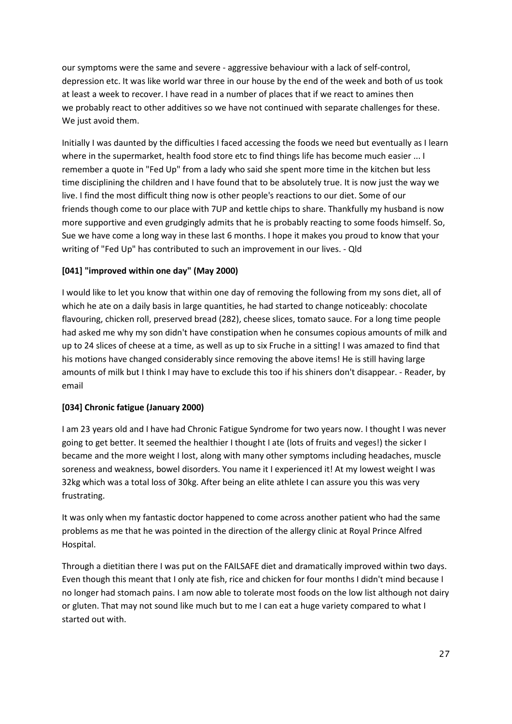our symptoms were the same and severe - aggressive behaviour with a lack of self-control, depression etc. It was like world war three in our house by the end of the week and both of us took at least a week to recover. I have read in a number of places that if we react to amines then we probably react to other additives so we have not continued with separate challenges for these. We just avoid them.

Initially I was daunted by the difficulties I faced accessing the foods we need but eventually as I learn where in the supermarket, health food store etc to find things life has become much easier ... I remember a quote in "Fed Up" from a lady who said she spent more time in the kitchen but less time disciplining the children and I have found that to be absolutely true. It is now just the way we live. I find the most difficult thing now is other people's reactions to our diet. Some of our friends though come to our place with 7UP and kettle chips to share. Thankfully my husband is now more supportive and even grudgingly admits that he is probably reacting to some foods himself. So, Sue we have come a long way in these last 6 months. I hope it makes you proud to know that your writing of "Fed Up" has contributed to such an improvement in our lives. - Qld

# **[041] "improved within one day" (May 2000)**

I would like to let you know that within one day of removing the following from my sons diet, all of which he ate on a daily basis in large quantities, he had started to change noticeably: chocolate flavouring, chicken roll, preserved bread (282), cheese slices, tomato sauce. For a long time people had asked me why my son didn't have constipation when he consumes copious amounts of milk and up to 24 slices of cheese at a time, as well as up to six Fruche in a sitting! I was amazed to find that his motions have changed considerably since removing the above items! He is still having large amounts of milk but I think I may have to exclude this too if his shiners don't disappear. - Reader, by email

### **[034] Chronic fatigue (January 2000)**

I am 23 years old and I have had Chronic Fatigue Syndrome for two years now. I thought I was never going to get better. It seemed the healthier I thought I ate (lots of fruits and veges!) the sicker I became and the more weight I lost, along with many other symptoms including headaches, muscle soreness and weakness, bowel disorders. You name it I experienced it! At my lowest weight I was 32kg which was a total loss of 30kg. After being an elite athlete I can assure you this was very frustrating.

It was only when my fantastic doctor happened to come across another patient who had the same problems as me that he was pointed in the direction of the allergy clinic at Royal Prince Alfred Hospital.

Through a dietitian there I was put on the FAILSAFE diet and dramatically improved within two days. Even though this meant that I only ate fish, rice and chicken for four months I didn't mind because I no longer had stomach pains. I am now able to tolerate most foods on the low list although not dairy or gluten. That may not sound like much but to me I can eat a huge variety compared to what I started out with.